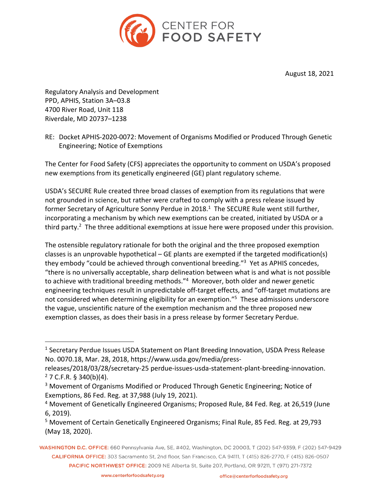

August 18, 2021

Regulatory Analysis and Development PPD, APHIS, Station 3A–03.8 4700 River Road, Unit 118 Riverdale, MD 20737–1238

RE: Docket APHIS-2020-0072: Movement of Organisms Modified or Produced Through Genetic Engineering; Notice of Exemptions

The Center for Food Safety (CFS) appreciates the opportunity to comment on USDA's proposed new exemptions from its genetically engineered (GE) plant regulatory scheme.

USDA's SECURE Rule created three broad classes of exemption from its regulations that were not grounded in science, but rather were crafted to comply with a press release issued by former Secretary of Agriculture Sonny Perdue in 2018.<sup>1</sup> The SECURE Rule went still further, incorporating a mechanism by which new exemptions can be created, initiated by USDA or a third party.<sup>2</sup> The three additional exemptions at issue here were proposed under this provision.

The ostensible regulatory rationale for both the original and the three proposed exemption classes is an unprovable hypothetical – GE plants are exempted if the targeted modification(s) they embody "could be achieved through conventional breeding."<sup>3</sup> Yet as APHIS concedes, "there is no universally acceptable, sharp delineation between what is and what is not possible to achieve with traditional breeding methods."<sup>4</sup> Moreover, both older and newer genetic engineering techniques result in unpredictable off-target effects, and "off-target mutations are not considered when determining eligibility for an exemption."<sup>5</sup> These admissions underscore the vague, unscientific nature of the exemption mechanism and the three proposed new exemption classes, as does their basis in a press release by former Secretary Perdue.

<sup>&</sup>lt;sup>1</sup> Secretary Perdue Issues USDA Statement on Plant Breeding Innovation, USDA Press Release No. 0070.18, Mar. 28, 2018, https://www.usda.gov/media/press-

releases/2018/03/28/secretary-25 perdue-issues-usda-statement-plant-breeding-innovation.  $2$  7 C.F.R. § 340(b)(4).

<sup>&</sup>lt;sup>3</sup> Movement of Organisms Modified or Produced Through Genetic Engineering; Notice of Exemptions, 86 Fed. Reg. at 37,988 (July 19, 2021).

<sup>4</sup> Movement of Genetically Engineered Organisms; Proposed Rule, 84 Fed. Reg. at 26,519 (June 6, 2019).

<sup>5</sup> Movement of Certain Genetically Engineered Organisms; Final Rule, 85 Fed. Reg. at 29,793 (May 18, 2020).

WASHINGTON D.C. OFFICE: 660 Pennsylvania Ave, SE, #402, Washington, DC 20003, T (202) 547-9359, F (202) 547-9429 CALIFORNIA OFFICE: 303 Sacramento St, 2nd floor, San Francisco, CA 94111, T (415) 826-2770, F (415) 826-0507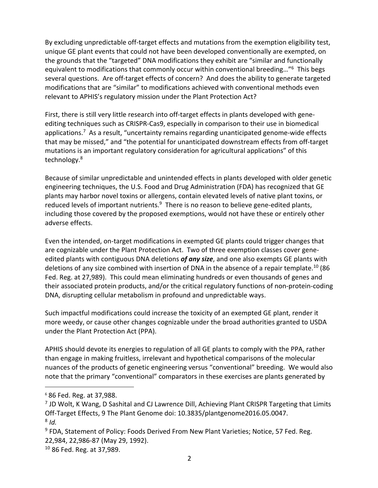By excluding unpredictable off-target effects and mutations from the exemption eligibility test, unique GE plant events that could not have been developed conventionally are exempted, on the grounds that the "targeted" DNA modifications they exhibit are "similar and functionally equivalent to modifications that commonly occur within conventional breeding..."<sup>6</sup> This begs several questions. Are off-target effects of concern? And does the ability to generate targeted modifications that are "similar" to modifications achieved with conventional methods even relevant to APHIS's regulatory mission under the Plant Protection Act?

First, there is still very little research into off-target effects in plants developed with geneediting techniques such as CRISPR-Cas9, especially in comparison to their use in biomedical applications.<sup>7</sup> As a result, "uncertainty remains regarding unanticipated genome-wide effects that may be missed," and "the potential for unanticipated downstream effects from off-target mutations is an important regulatory consideration for agricultural applications" of this technology.8

Because of similar unpredictable and unintended effects in plants developed with older genetic engineering techniques, the U.S. Food and Drug Administration (FDA) has recognized that GE plants may harbor novel toxins or allergens, contain elevated levels of native plant toxins, or reduced levels of important nutrients. $9$  There is no reason to believe gene-edited plants, including those covered by the proposed exemptions, would not have these or entirely other adverse effects.

Even the intended, on-target modifications in exempted GE plants could trigger changes that are cognizable under the Plant Protection Act. Two of three exemption classes cover geneedited plants with contiguous DNA deletions *of any size*, and one also exempts GE plants with deletions of any size combined with insertion of DNA in the absence of a repair template.<sup>10</sup> (86 Fed. Reg. at 27,989). This could mean eliminating hundreds or even thousands of genes and their associated protein products, and/or the critical regulatory functions of non-protein-coding DNA, disrupting cellular metabolism in profound and unpredictable ways.

Such impactful modifications could increase the toxicity of an exempted GE plant, render it more weedy, or cause other changes cognizable under the broad authorities granted to USDA under the Plant Protection Act (PPA).

APHIS should devote its energies to regulation of all GE plants to comply with the PPA, rather than engage in making fruitless, irrelevant and hypothetical comparisons of the molecular nuances of the products of genetic engineering versus "conventional" breeding. We would also note that the primary "conventional" comparators in these exercises are plants generated by

<sup>6</sup> 86 Fed. Reg. at 37,988.

 $<sup>7</sup>$  JD Wolt, K Wang, D Sashital and CJ Lawrence Dill, Achieving Plant CRISPR Targeting that Limits</sup> Off-Target Effects, 9 The Plant Genome doi: 10.3835/plantgenome2016.05.0047. <sup>8</sup> *Id.*

<sup>&</sup>lt;sup>9</sup> FDA, Statement of Policy: Foods Derived From New Plant Varieties; Notice, 57 Fed. Reg. 22,984, 22,986-87 (May 29, 1992).

<sup>10</sup> 86 Fed. Reg. at 37,989.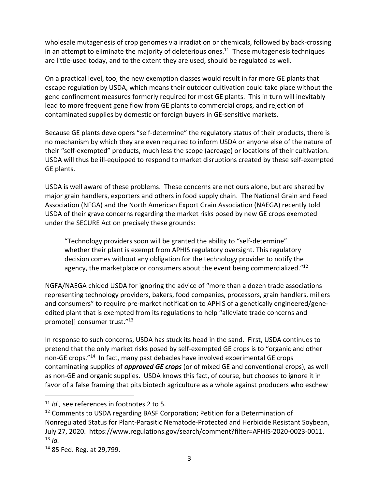wholesale mutagenesis of crop genomes via irradiation or chemicals, followed by back-crossing in an attempt to eliminate the majority of deleterious ones.<sup>11</sup> These mutagenesis techniques are little-used today, and to the extent they are used, should be regulated as well.

On a practical level, too, the new exemption classes would result in far more GE plants that escape regulation by USDA, which means their outdoor cultivation could take place without the gene confinement measures formerly required for most GE plants. This in turn will inevitably lead to more frequent gene flow from GE plants to commercial crops, and rejection of contaminated supplies by domestic or foreign buyers in GE-sensitive markets.

Because GE plants developers "self-determine" the regulatory status of their products, there is no mechanism by which they are even required to inform USDA or anyone else of the nature of their "self-exempted" products, much less the scope (acreage) or locations of their cultivation. USDA will thus be ill-equipped to respond to market disruptions created by these self-exempted GE plants.

USDA is well aware of these problems. These concerns are not ours alone, but are shared by major grain handlers, exporters and others in food supply chain. The National Grain and Feed Association (NFGA) and the North American Export Grain Association (NAEGA) recently told USDA of their grave concerns regarding the market risks posed by new GE crops exempted under the SECURE Act on precisely these grounds:

"Technology providers soon will be granted the ability to "self-determine" whether their plant is exempt from APHIS regulatory oversight. This regulatory decision comes without any obligation for the technology provider to notify the agency, the marketplace or consumers about the event being commercialized." $^{12}$ 

NGFA/NAEGA chided USDA for ignoring the advice of "more than a dozen trade associations representing technology providers, bakers, food companies, processors, grain handlers, millers and consumers" to require pre-market notification to APHIS of a genetically engineered/geneedited plant that is exempted from its regulations to help "alleviate trade concerns and promote[] consumer trust."<sup>13</sup>

In response to such concerns, USDA has stuck its head in the sand. First, USDA continues to pretend that the only market risks posed by self-exempted GE crops is to "organic and other non-GE crops."14 In fact, many past debacles have involved experimental GE crops contaminating supplies of *approved GE crops* (or of mixed GE and conventional crops), as well as non-GE and organic supplies. USDA knows this fact, of course, but chooses to ignore it in favor of a false framing that pits biotech agriculture as a whole against producers who eschew

<sup>11</sup> *Id.,* see references in footnotes 2 to 5.

<sup>&</sup>lt;sup>12</sup> Comments to USDA regarding BASF Corporation; Petition for a Determination of Nonregulated Status for Plant-Parasitic Nematode-Protected and Herbicide Resistant Soybean, July 27, 2020. https://www.regulations.gov/search/comment?filter=APHIS-2020-0023-0011.  $13$  *Id.* 

<sup>14</sup> 85 Fed. Reg. at 29,799.